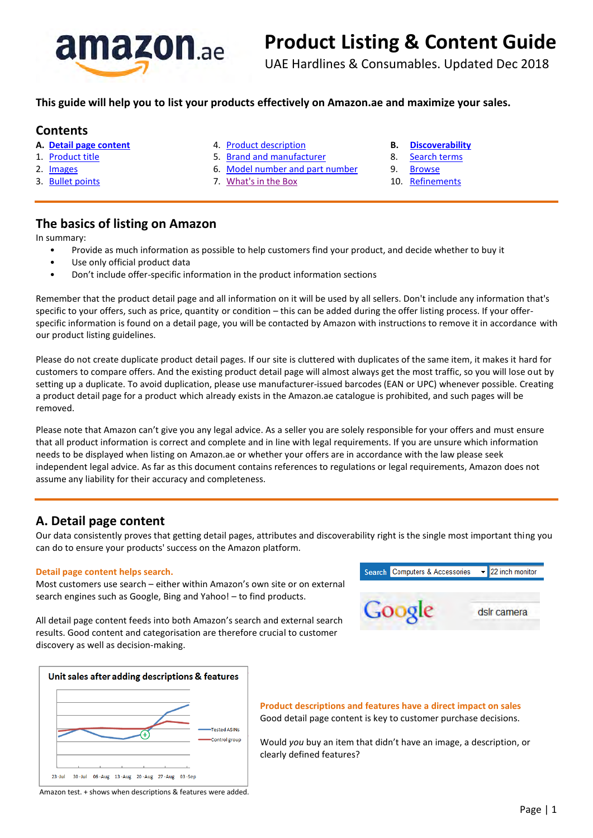

UAE Hardlines & Consumables. Updated Dec 2018

#### **This guide will help you to list your products effectively on Amazon.ae and maximi**z**e your sales.**

#### **Contents**

- **A. [Detail page content](#page-0-0)**
- 1. [Product title](#page-1-0)
- 2. [Images](#page-1-1)
- 3. [Bullet points](#page-2-0)
- 4. [Product description](#page-3-0)
- 5. [Brand and manufacturer](#page-4-0)
- 6. [Model number and part number](#page-4-1)
- 7. [What's in the Box](#page-4-2)
- **B. [Discoverability](#page-4-3)**
- 8. [Search terms](#page-5-0)
- 9. [Browse](#page-5-1) 10. [Refinements](#page-6-0)

#### **The basics of listing on Amazon**

In summary:

- Provide as much information as possible to help customers find your product, and decide whether to buy it
- Use only official product data
- Don't include offer-specific information in the product information sections

Remember that the product detail page and all information on it will be used by all sellers. Don't include any information that's specific to your offers, such as price, quantity or condition – this can be added during the offer listing process. If your offerspecific information is found on a detail page, you will be contacted by Amazon with instructions to remove it in accordance with our product listing guidelines.

Please do not create duplicate product detail pages. If our site is cluttered with duplicates of the same item, it makes it hard for customers to compare offers. And the existing product detail page will almost always get the most traffic, so you will lose out by setting up a duplicate. To avoid duplication, please use manufacturer-issued barcodes (EAN or UPC) whenever possible. Creating a product detail page for a product which already exists in the Amazon.ae catalogue is prohibited, and such pages will be removed.

Please note that Amazon can't give you any legal advice. As a seller you are solely responsible for your offers and must ensure that all product information is correct and complete and in line with legal requirements. If you are unsure which information needs to be displayed when listing on Amazon.ae or whether your offers are in accordance with the law please seek independent legal advice. As far as this document contains references to regulations or legal requirements, Amazon does not assume any liability for their accuracy and completeness.

#### <span id="page-0-0"></span>**A. Detail page content**

Our data consistently proves that getting detail pages, attributes and discoverability right is the single most important thing you can do to ensure your products' success on the Amazon platform.

#### **Detail page content helps search.**

Most customers use search – either within Amazon's own site or on external search engines such as Google, Bing and Yahoo! – to find products.



All detail page content feeds into both Amazon's search and external search results. Good content and categorisation are therefore crucial to customer discovery as well as decision-making.



**Product descriptions and features have a direct impact on sales** Good detail page content is key to customer purchase decisions.

Would *you* buy an item that didn't have an image, a description, or clearly defined features?

Amazon test. + shows when descriptions & features were added.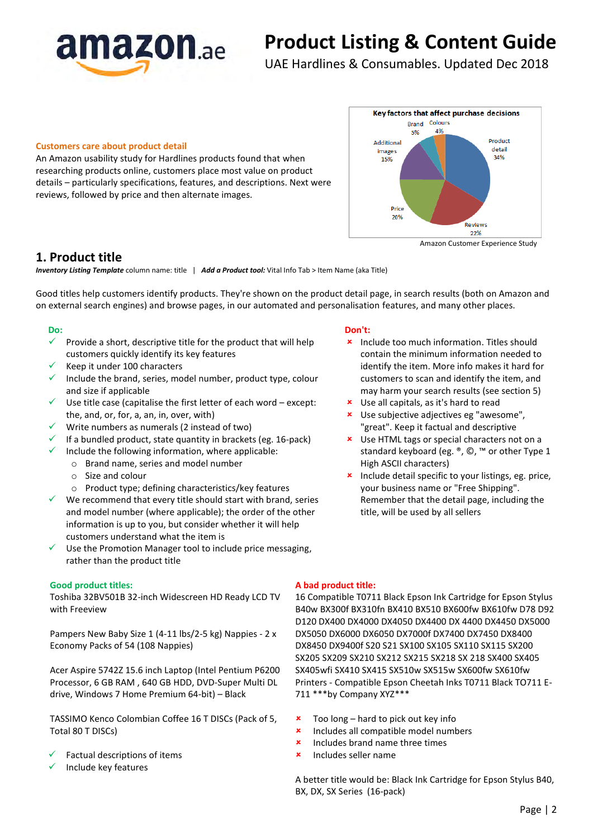

UAE Hardlines & Consumables. Updated Dec 2018

#### **Customers care about product detail**

An Amazon usability study for Hardlines products found that when researching products online, customers place most value on product details – particularly specifications, features, and descriptions. Next were reviews, followed by price and then alternate images.



#### <span id="page-1-0"></span>**1. Product title**

*Inventory Listing Template* column name: title | *Add a Product tool:* Vital Info Tab > Item Name (aka Title)

Good titles help customers identify products. They're shown on the product detail page, in search results (both on Amazon and on external search engines) and browse pages, in our automated and personalisation features, and many other places.

#### **Do:**

- Provide a short, descriptive title for the product that will help customers quickly identify its key features
- Keep it under 100 characters
- $\checkmark$  Include the brand, series, model number, product type, colour and size if applicable
- $\checkmark$  Use title case (capitalise the first letter of each word except: the, and, or, for, a, an, in, over, with)
- Write numbers as numerals (2 instead of two)
- $\checkmark$  If a bundled product, state quantity in brackets (eg. 16-pack)
	- Include the following information, where applicable:
		- o Brand name, series and model number
		- o Size and colour
		- o Product type; defining characteristics/key features
- We recommend that every title should start with brand, series and model number (where applicable); the order of the other information is up to you, but consider whether it will help customers understand what the item is
- $\checkmark$  Use the Promotion Manager tool to include price messaging, rather than the product title

#### <span id="page-1-1"></span>**Good product titles:**

Toshiba 32BV501B 32-inch Widescreen HD Ready LCD TV with Freeview

Pampers New Baby Size 1 (4-11 lbs/2-5 kg) Nappies - 2 x Economy Packs of 54 (108 Nappies)

Acer Aspire 5742Z 15.6 inch Laptop (Intel Pentium P6200 Processor, 6 GB RAM , 640 GB HDD, DVD-Super Multi DL drive, Windows 7 Home Premium 64-bit) – Black

TASSIMO Kenco Colombian Coffee 16 T DISCs (Pack of 5, Total 80 T DISCs)

- Factual descriptions of items
- Include key features

#### **Don't:**

- **\*** Include too much information. Titles should contain the minimum information needed to identify the item. More info makes it hard for customers to scan and identify the item, and may harm your search results (see section 5)
- Use all capitals, as it's hard to read
- Use subjective adjectives eg "awesome", "great". Keep it factual and descriptive
- **x** Use HTML tags or special characters not on a standard keyboard (eg. ®, ©, ™ or other Type 1 High ASCII characters)
- **\*** Include detail specific to your listings, eg. price, your business name or "Free Shipping". Remember that the detail page, including the title, will be used by all sellers

#### **A bad product title:**

16 Compatible T0711 Black Epson Ink Cartridge for Epson Stylus B40w BX300f BX310fn BX410 BX510 BX600fw BX610fw D78 D92 D120 DX400 DX4000 DX4050 DX4400 DX 4400 DX4450 DX5000 DX5050 DX6000 DX6050 DX7000f DX7400 DX7450 DX8400 DX8450 DX9400f S20 S21 SX100 SX105 SX110 SX115 SX200 SX205 SX209 SX210 SX212 SX215 SX218 SX 218 SX400 SX405 SX405wfi SX410 SX415 SX510w SX515w SX600fw SX610fw Printers - Compatible Epson Cheetah Inks T0711 Black TO711 E-711 \*\*\*by Company XYZ\*\*\*

- $\star$  Too long hard to pick out key info
- **\*** Includes all compatible model numbers
- **\*** Includes brand name three times
- Includes seller name

A better title would be: Black Ink Cartridge for Epson Stylus B40, BX, DX, SX Series (16-pack)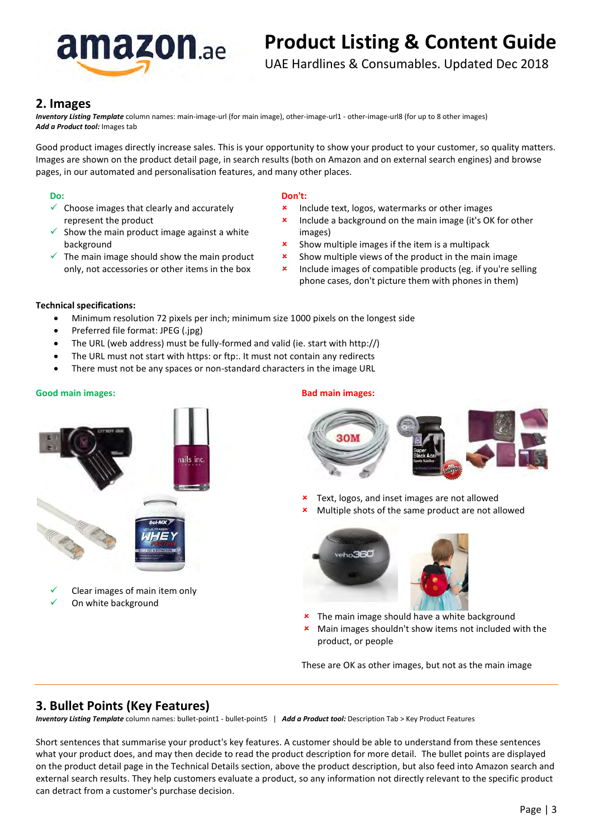

UAE Hardlines & Consumables. Updated Dec 2018

#### **2. Images**

*Inventory Listing Template* column names: main-image-url (for main image), other-image-url1 - other-image-url8 (for up to 8 other images) *Add a Product tool:* Images tab

Good product images directly increase sales. This is your opportunity to show your product to your customer, so quality matters. Images are shown on the product detail page, in search results (both on Amazon and on external search engines) and browse pages, in our automated and personalisation features, and many other places.

#### **Do:**

- $\checkmark$  Choose images that clearly and accurately represent the product
- $\checkmark$  Show the main product image against a white background
- $\checkmark$  The main image should show the main product only, not accessories or other items in the box

#### **Don't:**

- **\*** Include text, logos, watermarks or other images
- **x** Include a background on the main image (it's OK for other images)
- **\*** Show multiple images if the item is a multipack
- $\cdot$  Show multiple views of the product in the main image
- $\boldsymbol{\mathsf{x}}$  Include images of compatible products (eg. if you're selling phone cases, don't picture them with phones in them)

#### **Technical specifications:**

- Minimum resolution 72 pixels per inch; minimum size 1000 pixels on the longest side
- Preferred file format: JPEG (.jpg)
- The URL (web address) must be fully-formed and valid (ie. start with http://)
- The URL must not start with https: or ftp:. It must not contain any redirects
- There must not be any spaces or non-standard characters in the image URL

#### **Good main images:**

# iails inc Clear images of main item only On white background

#### **Bad main images:**



**\*** Text, logos, and inset images are not allowed

Multiple shots of the same product are not allowed



- **\*** The main image should have a white background
- Main images shouldn't show items not included with the product, or people

These are OK as other images, but not as the main image

#### <span id="page-2-0"></span>**3. Bullet Points (Key Features)**

*Inventory Listing Template* column names: bullet-point1 - bullet-point5 | *Add a Product tool:* Description Tab > Key Product Features

Short sentences that summarise your product's key features. A customer should be able to understand from these sentences what your product does, and may then decide to read the product description for more detail. The bullet points are displayed on the product detail page in the Technical Details section, above the product description, but also feed into Amazon search and external search results. They help customers evaluate a product, so any information not directly relevant to the specific product can detract from a customer's purchase decision.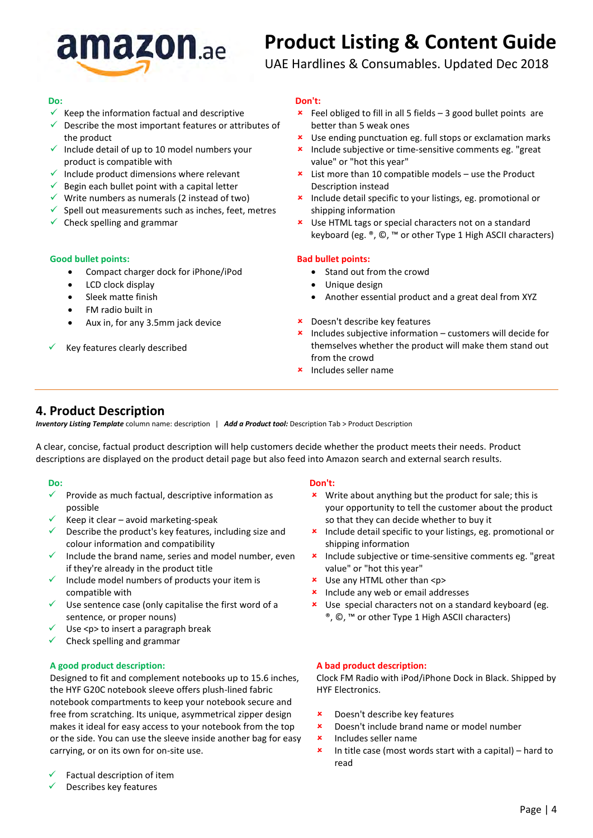## **amazon**<sub>ae</sub>

## **Product Listing & Content Guide**

UAE Hardlines & Consumables. Updated Dec 2018

#### **Do:**

- $\checkmark$  Keep the information factual and descriptive
- $\checkmark$  Describe the most important features or attributes of the product
- $\checkmark$  Include detail of up to 10 model numbers your product is compatible with
- $\checkmark$  Include product dimensions where relevant
- $\checkmark$  Begin each bullet point with a capital letter
- $\checkmark$  Write numbers as numerals (2 instead of two)
- $\checkmark$  Spell out measurements such as inches, feet, metres
- $\checkmark$  Check spelling and grammar

#### **Good bullet points:**

- Compact charger dock for iPhone/iPod
- LCD clock display
- Sleek matte finish
- FM radio built in
- Aux in, for any 3.5mm jack device
- Key features clearly described

#### **Don't:**

- $\overline{\phantom{a}}$  Feel obliged to fill in all 5 fields 3 good bullet points are better than 5 weak ones
- Use ending punctuation eg. full stops or exclamation marks
- **x** Include subjective or time-sensitive comments eg. "great value" or "hot this year"
- $\star$  List more than 10 compatible models use the Product Description instead
- **\*** Include detail specific to your listings, eg. promotional or shipping information
- **x** Use HTML tags or special characters not on a standard keyboard (eg. ®, ©, ™ or other Type 1 High ASCII characters)

#### **Bad bullet points:**

- Stand out from the crowd
- Unique design
- Another essential product and a great deal from XYZ
- Doesn't describe key features
- $\frac{\text{L}}{\text{L}}$  Includes subjective information customers will decide for themselves whether the product will make them stand out from the crowd
- Includes seller name

#### <span id="page-3-0"></span>**4. Product Description**

*Inventory Listing Template* column name: description | *Add a Product tool:* Description Tab > Product Description

A clear, concise, factual product description will help customers decide whether the product meets their needs. Product descriptions are displayed on the product detail page but also feed into Amazon search and external search results.

#### **Do:**

- $\checkmark$  Provide as much factual, descriptive information as possible
- Keep it clear avoid marketing-speak
- Describe the product's key features, including size and colour information and compatibility
- Include the brand name, series and model number, even if they're already in the product title
- $\checkmark$  Include model numbers of products your item is compatible with
- $\checkmark$  Use sentence case (only capitalise the first word of a sentence, or proper nouns)
- Use <p> to insert a paragraph break
- $\checkmark$  Check spelling and grammar

#### **A good product description:**

Designed to fit and complement notebooks up to 15.6 inches, the HYF G20C notebook sleeve offers plush-lined fabric notebook compartments to keep your notebook secure and free from scratching. Its unique, asymmetrical zipper design makes it ideal for easy access to your notebook from the top or the side. You can use the sleeve inside another bag for easy carrying, or on its own for on-site use.

- Factual description of item
- $\checkmark$  Describes key features

#### **Don't:**

- **\*** Write about anything but the product for sale; this is your opportunity to tell the customer about the product so that they can decide whether to buy it
- **\*** Include detail specific to your listings, eg. promotional or shipping information
- **\*** Include subjective or time-sensitive comments eg. "great" value" or "hot this year"
- Use any HTML other than <p>
- **\*** Include any web or email addresses
- **x** Use special characters not on a standard keyboard (eg. ®, ©, ™ or other Type 1 High ASCII characters)

#### **A bad product description:**

Clock FM Radio with iPod/iPhone Dock in Black. Shipped by HYF Electronics.

- Doesn't describe key features
- **x** Doesn't include brand name or model number
- $\vert$  Includes seller name
- $\vert x \vert$  In title case (most words start with a capital) hard to read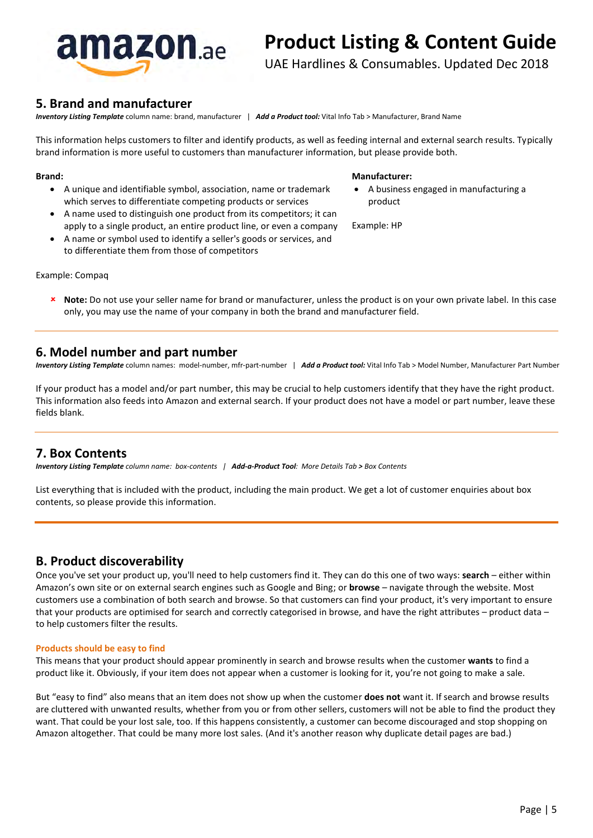

UAE Hardlines & Consumables. Updated Dec 2018

#### <span id="page-4-0"></span>**5. Brand and manufacturer**

*Inventory Listing Template* column name: brand, manufacturer | *Add a Product tool:* Vital Info Tab > Manufacturer, Brand Name

This information helps customers to filter and identify products, as well as feeding internal and external search results. Typically brand information is more useful to customers than manufacturer information, but please provide both.

#### **Brand:**

- A unique and identifiable symbol, association, name or trademark which serves to differentiate competing products or services
- A name used to distinguish one product from its competitors; it can apply to a single product, an entire product line, or even a company
- A name or symbol used to identify a seller's goods or services, and to differentiate them from those of competitors

Example: Compaq

 **Note:** Do not use your seller name for brand or manufacturer, unless the product is on your own private label. In this case only, you may use the name of your company in both the brand and manufacturer field.

#### <span id="page-4-1"></span>**6. Model number and part number**

*Inventory Listing Template* column names: model-number, mfr-part-number | *Add a Product tool:* Vital Info Tab > Model Number, Manufacturer Part Number

If your product has a model and/or part number, this may be crucial to help customers identify that they have the right product. This information also feeds into Amazon and external search. If your product does not have a model or part number, leave these fields blank.

#### <span id="page-4-2"></span>**7. Box Contents**

*Inventory Listing Template column name: box-contents | Add-a-Product Tool: More Details Tab > Box Contents* 

List everything that is included with the product, including the main product. We get a lot of customer enquiries about box contents, so please provide this information.

#### <span id="page-4-3"></span>**B. Product discoverability**

Once you've set your product up, you'll need to help customers find it. They can do this one of two ways: **search** – either within Amazon's own site or on external search engines such as Google and Bing; or **browse** – navigate through the website. Most customers use a combination of both search and browse. So that customers can find your product, it's very important to ensure that your products are optimised for search and correctly categorised in browse, and have the right attributes – product data – to help customers filter the results.

#### **Products should be easy to find**

This means that your product should appear prominently in search and browse results when the customer **wants** to find a product like it. Obviously, if your item does not appear when a customer is looking for it, you're not going to make a sale.

But "easy to find" also means that an item does not show up when the customer **does not** want it. If search and browse results are cluttered with unwanted results, whether from you or from other sellers, customers will not be able to find the product they want. That could be your lost sale, too. If this happens consistently, a customer can become discouraged and stop shopping on Amazon altogether. That could be many more lost sales. (And it's another reason why duplicate detail pages are bad.)

### **Manufacturer:**

- A business engaged in manufacturing a product
- Example: HP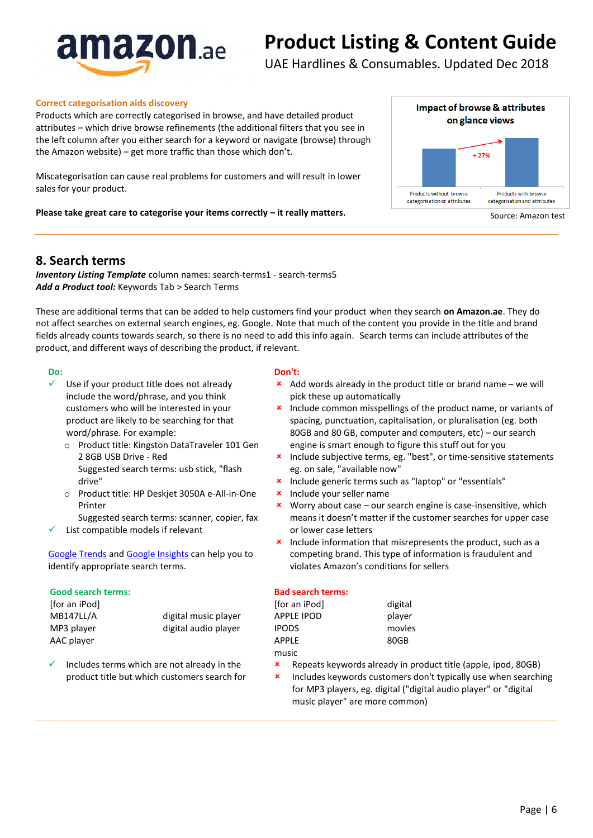

UAE Hardlines & Consumables. Updated Dec 2018

#### **Correct categorisation aids discovery**

Products which are correctly categorised in browse, and have detailed product attributes – which drive browse refinements (the additional filters that you see in the left column after you either search for a keyword or navigate (browse) through the Amazon website) – get more traffic than those which don't.

Miscategorisation can cause real problems for customers and will result in lower sales for your product.

**Please take great care to categorise your items correctly – it really matters.** Source: Amazon test



#### <span id="page-5-0"></span>**8. Search terms**

*Inventory Listing Template* column names: search-terms1 - search-terms5 *Add a Product tool:* Keywords Tab > Search Terms

These are additional terms that can be added to help customers find your product when they search **on Amazon.ae**. They do not affect searches on external search engines, eg. Google. Note that much of the content you provide in the title and brand fields already counts towards search, so there is no need to add this info again. Search terms can include attributes of the product, and different ways of describing the product, if relevant.

#### **Do:**

- Use if your product title does not already include the word/phrase, and you think customers who will be interested in your product are likely to be searching for that word/phrase. For example:
	- o Product title: Kingston DataTraveler 101 Gen 2 8GB USB Drive - Red Suggested search terms: usb stick, "flash drive"
	- o Product title: HP Deskjet 3050A e-All-in-One Printer
	- Suggested search terms: scanner, copier, fax List compatible models if relevant

[Google Trends](http://www.google.co.uk/trends) and [Google Insights](http://www.google.co.uk/insights/search/) can help you to identify appropriate search terms.

#### **Good search terms:**

| [for an iPod]    |  |
|------------------|--|
| <b>MB147LL/A</b> |  |
| MP3 player       |  |
| AAC player       |  |

- digital music player digital audio player
- <span id="page-5-1"></span> Includes terms which are not already in the product title but which customers search for

#### **Don't:**

- $\star$  Add words already in the product title or brand name we will pick these up automatically
- **x** Include common misspellings of the product name, or variants of spacing, punctuation, capitalisation, or pluralisation (eg. both 80GB and 80 GB, computer and computers, etc) – our search engine is smart enough to figure this stuff out for you
- **x** Include subjective terms, eg. "best", or time-sensitive statements eg. on sale, "available now"
- Include generic terms such as "laptop" or "essentials"
- **\*** Include your seller name
- Worry about case our search engine is case-insensitive, which means it doesn't matter if the customer searches for upper case or lower case letters
- Include information that misrepresents the product, such as a competing brand. This type of information is fraudulent and violates Amazon's conditions for sellers

#### **Bad search terms:**

| [for an iPod] | digital |
|---------------|---------|
| APPLF IPOD    | player  |
| <b>IPODS</b>  | movies  |
| <b>APPLF</b>  | 80GB    |
| music         |         |

- Repeats keywords already in product title (apple, ipod, 80GB)
- **\*** Includes keywords customers don't typically use when searching for MP3 players, eg. digital ("digital audio player" or "digital music player" are more common)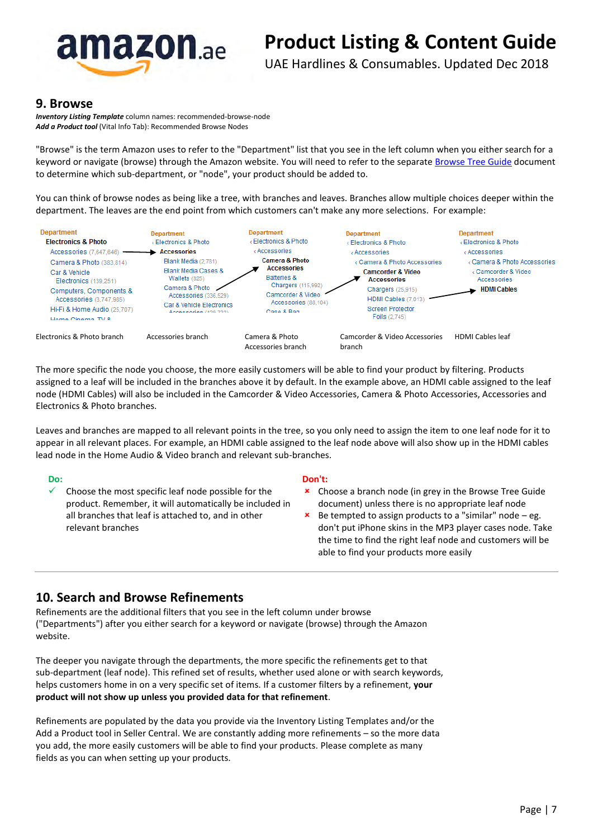

UAE Hardlines & Consumables. Updated Dec 2018

#### **9. Browse**

*Inventory Listing Template* column names: recommended-browse-node *Add a Product tool* (Vital Info Tab): Recommended Browse Nodes

"Browse" is the term Amazon uses to refer to the "Department" list that you see in the left column when you either search for a keyword or navigate (browse) through the Amazon website. You will need to refer to the separate [Browse Tree Guide](https://sellercentral.amazon.co.uk/gp/help/help-page.html/ref=am_1661_cont_scsearch?ie=UTF8&itemID=1661) document to determine which sub-department, or "node", your product should be added to.

You can think of browse nodes as being like a tree, with branches and leaves. Branches allow multiple choices deeper within the department. The leaves are the end point from which customers can't make any more selections. For example:



The more specific the node you choose, the more easily customers will be able to find your product by filtering. Products assigned to a leaf will be included in the branches above it by default. In the example above, an HDMI cable assigned to the leaf node (HDMI Cables) will also be included in the Camcorder & Video Accessories, Camera & Photo Accessories, Accessories and Electronics & Photo branches.

Leaves and branches are mapped to all relevant points in the tree, so you only need to assign the item to one leaf node for it to appear in all relevant places. For example, an HDMI cable assigned to the leaf node above will also show up in the HDMI cables lead node in the Home Audio & Video branch and relevant sub-branches.

#### **Do:**

 Choose the most specific leaf node possible for the product. Remember, it will automatically be included in all branches that leaf is attached to, and in other relevant branches

#### **Don't:**

- **\*** Choose a branch node (in grey in the Browse Tree Guide document) unless there is no appropriate leaf node
- $\star$  Be tempted to assign products to a "similar" node eg. don't put iPhone skins in the MP3 player cases node. Take the time to find the right leaf node and customers will be able to find your products more easily

#### <span id="page-6-0"></span>**10. Search and Browse Refinements**

Refinements are the additional filters that you see in the left column under browse ("Departments") after you either search for a keyword or navigate (browse) through the Amazon website.

The deeper you navigate through the departments, the more specific the refinements get to that sub-department (leaf node). This refined set of results, whether used alone or with search keywords, helps customers home in on a very specific set of items. If a customer filters by a refinement, **your product will not show up unless you provided data for that refinement**.

Refinements are populated by the data you provide via the Inventory Listing Templates and/or the Add a Product tool in Seller Central. We are constantly adding more refinements – so the more data you add, the more easily customers will be able to find your products. Please complete as many fields as you can when setting up your products.